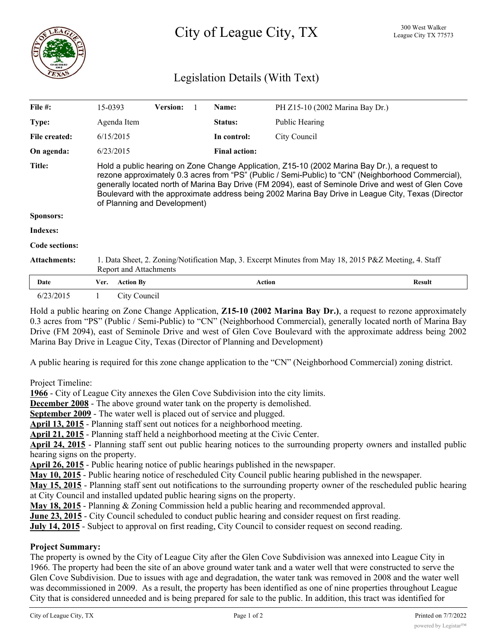

# Legislation Details (With Text)

| File #:             | 15-0393                                                                                                                                                                                                                                                                                                                                                                                                                                         | <b>Version:</b> |  | Name:                | PH Z15-10 (2002 Marina Bay Dr.) |        |
|---------------------|-------------------------------------------------------------------------------------------------------------------------------------------------------------------------------------------------------------------------------------------------------------------------------------------------------------------------------------------------------------------------------------------------------------------------------------------------|-----------------|--|----------------------|---------------------------------|--------|
| <b>Type:</b>        | Agenda Item                                                                                                                                                                                                                                                                                                                                                                                                                                     |                 |  | Status:              | Public Hearing                  |        |
| File created:       | 6/15/2015                                                                                                                                                                                                                                                                                                                                                                                                                                       |                 |  | In control:          | City Council                    |        |
| On agenda:          | 6/23/2015                                                                                                                                                                                                                                                                                                                                                                                                                                       |                 |  | <b>Final action:</b> |                                 |        |
| <b>Title:</b>       | Hold a public hearing on Zone Change Application, Z15-10 (2002 Marina Bay Dr.), a request to<br>rezone approximately 0.3 acres from "PS" (Public / Semi-Public) to "CN" (Neighborhood Commercial),<br>generally located north of Marina Bay Drive (FM 2094), east of Seminole Drive and west of Glen Cove<br>Boulevard with the approximate address being 2002 Marina Bay Drive in League City, Texas (Director<br>of Planning and Development) |                 |  |                      |                                 |        |
| Sponsors:           |                                                                                                                                                                                                                                                                                                                                                                                                                                                 |                 |  |                      |                                 |        |
| Indexes:            |                                                                                                                                                                                                                                                                                                                                                                                                                                                 |                 |  |                      |                                 |        |
| Code sections:      |                                                                                                                                                                                                                                                                                                                                                                                                                                                 |                 |  |                      |                                 |        |
| <b>Attachments:</b> | 1. Data Sheet, 2. Zoning/Notification Map, 3. Excerpt Minutes from May 18, 2015 P&Z Meeting, 4. Staff<br>Report and Attachments                                                                                                                                                                                                                                                                                                                 |                 |  |                      |                                 |        |
| Date                | <b>Action By</b><br>Ver.                                                                                                                                                                                                                                                                                                                                                                                                                        |                 |  | <b>Action</b>        |                                 | Result |
| 6/23/2015           |                                                                                                                                                                                                                                                                                                                                                                                                                                                 | City Council    |  |                      |                                 |        |

Hold a public hearing on Zone Change Application, **Z15-10 (2002 Marina Bay Dr.)**, a request to rezone approximately 0.3 acres from "PS" (Public / Semi-Public) to "CN" (Neighborhood Commercial), generally located north of Marina Bay Drive (FM 2094), east of Seminole Drive and west of Glen Cove Boulevard with the approximate address being 2002 Marina Bay Drive in League City, Texas (Director of Planning and Development)

A public hearing is required for this zone change application to the "CN" (Neighborhood Commercial) zoning district.

Project Timeline:

**1966** - City of League City annexes the Glen Cove Subdivision into the city limits.

**December 2008** - The above ground water tank on the property is demolished.

**September 2009** - The water well is placed out of service and plugged.

**April 13, 2015** - Planning staff sent out notices for a neighborhood meeting.

**April 21, 2015** - Planning staff held a neighborhood meeting at the Civic Center.

**April 24, 2015** - Planning staff sent out public hearing notices to the surrounding property owners and installed public hearing signs on the property.

**April 26, 2015** - Public hearing notice of public hearings published in the newspaper.

**May 10, 2015** - Public hearing notice of rescheduled City Council public hearing published in the newspaper.

**May 15, 2015** - Planning staff sent out notifications to the surrounding property owner of the rescheduled public hearing at City Council and installed updated public hearing signs on the property.

**May 18, 2015** - Planning & Zoning Commission held a public hearing and recommended approval.

**June 23, 2015** - City Council scheduled to conduct public hearing and consider request on first reading.

**July 14, 2015** - Subject to approval on first reading, City Council to consider request on second reading.

#### **Project Summary:**

The property is owned by the City of League City after the Glen Cove Subdivision was annexed into League City in 1966. The property had been the site of an above ground water tank and a water well that were constructed to serve the Glen Cove Subdivision. Due to issues with age and degradation, the water tank was removed in 2008 and the water well was decommissioned in 2009. As a result, the property has been identified as one of nine properties throughout League City that is considered unneeded and is being prepared for sale to the public. In addition, this tract was identified for